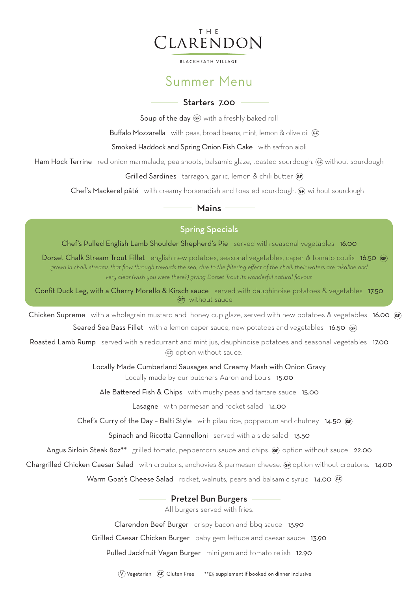## THE CLARENDON

**BLACKHEATH VILLAGE** 

## Summer Menu

### Starters 7.00 -

Soup of the day GF with a freshly baked roll

Buffalo Mozzarella with peas, broad beans, mint, lemon & olive oil GF)

Smoked Haddock and Spring Onion Fish Cake with saffron aioli

Ham Hock Terrine red onion marmalade, pea shoots, balsamic glaze, toasted sourdough. GF without sourdough

Grilled Sardines tarragon, garlic, lemon & chili butter GF)

Chef's Mackerel pâté with creamy horseradish and toasted sourdough. GF, without sourdough

### Mains —

## Spring Specials

Chef's Pulled English Lamb Shoulder Shepherd's Pie served with seasonal vegetables 16.00

Dorset Chalk Stream Trout Fillet english new potatoes, seasonal vegetables, caper & tomato coulis 16.50 @ *grown in chalk streams that flow through towards the sea, due to the filtering effect of the chalk their waters are alkaline and very clear (wish you were there?) giving Dorset Trout its wonderful natural flavour.*

Confit Duck Leg, with a Cherry Morello & Kirsch sauce served with dauphinoise potatoes & vegetables 17.50 GF) without sauce

Chicken Supreme with a wholegrain mustard and honey cup glaze, served with new potatoes & vegetables 16.00 GF Seared Sea Bass Fillet with a lemon caper sauce, new potatoes and vegetables16.50

Roasted Lamb Rump served with a redcurrant and mint jus, dauphinoise potatoes and seasonal vegetables 17.00 GF) option without sauce.

Locally Made Cumberland Sausages and Creamy Mash with Onion Gravy

Locally made by our butchers Aaron and Louis 15.00

Ale Battered Fish & Chips with mushy peas and tartare sauce15.00

Lasagne with parmesan and rocket salad14.00

Chef's Curry of the Day – Balti Style with pilau rice, poppadum and chutney14.50

Spinach and Ricotta Cannelloni served with a side salad13.50

Angus Sirloin Steak 8oz<sup>\*\*</sup> grilled tomato, peppercorn sauce and chips. (F) option without sauce 22.00

Chargrilled Chicken Caesar Salad with croutons, anchovies & parmesan cheese. (or option without croutons. 14.00

Warm Goat's Cheese Salad rocket, walnuts, pears and balsamic syrup **14.00** GF

### - Pretzel Bun Burgers

All burgers served with fries.

Clarendon Beef Burger crispy bacon and bbq sauce13.90

Grilled Caesar Chicken Burger baby gem lettuce and caesar sauce13.90

Pulled Jackfruit Vegan Burger mini gem and tomato relish12.90